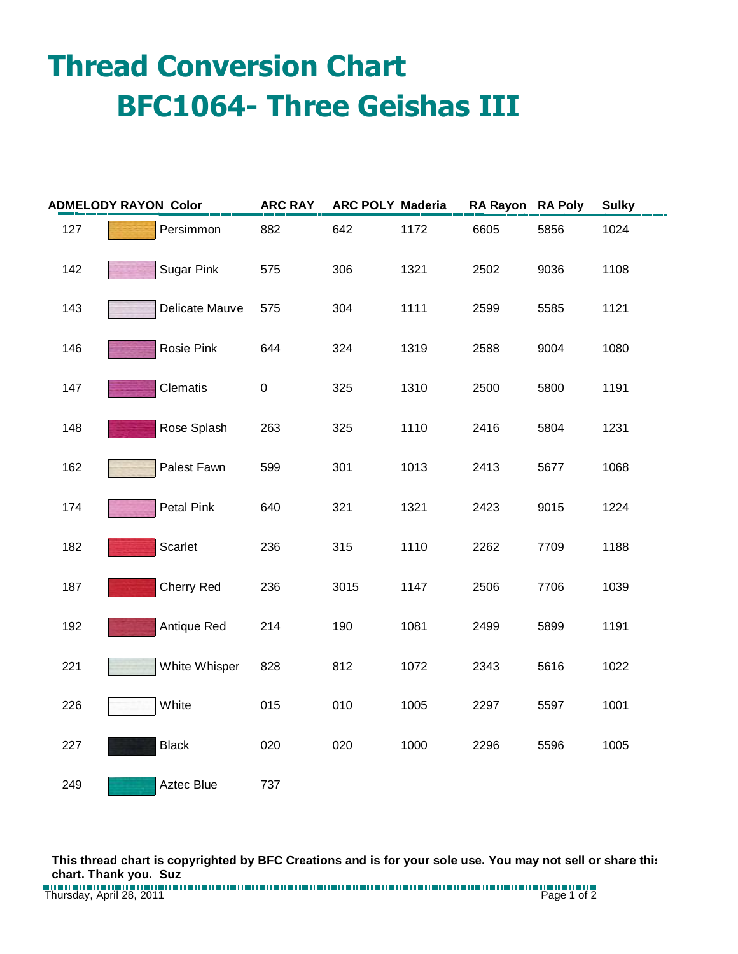## **Thread Conversion Chart BFC1064- Three Geishas III**

| <b>ADMELODY RAYON Color</b> |                   | <b>ARC RAY</b> | <b>ARC POLY Maderia</b> |      | <b>RA Rayon</b> | <b>RA Poly</b> | <b>Sulky</b> |
|-----------------------------|-------------------|----------------|-------------------------|------|-----------------|----------------|--------------|
| 127                         | Persimmon         | 882            | 642                     | 1172 | 6605            | 5856           | 1024         |
| 142                         | <b>Sugar Pink</b> | 575            | 306                     | 1321 | 2502            | 9036           | 1108         |
| 143                         | Delicate Mauve    | 575            | 304                     | 1111 | 2599            | 5585           | 1121         |
| 146                         | Rosie Pink        | 644            | 324                     | 1319 | 2588            | 9004           | 1080         |
| 147                         | Clematis          | 0              | 325                     | 1310 | 2500            | 5800           | 1191         |
| 148                         | Rose Splash       | 263            | 325                     | 1110 | 2416            | 5804           | 1231         |
| 162                         | Palest Fawn       | 599            | 301                     | 1013 | 2413            | 5677           | 1068         |
| 174                         | <b>Petal Pink</b> | 640            | 321                     | 1321 | 2423            | 9015           | 1224         |
| 182                         | Scarlet           | 236            | 315                     | 1110 | 2262            | 7709           | 1188         |
| 187                         | Cherry Red        | 236            | 3015                    | 1147 | 2506            | 7706           | 1039         |
| 192                         | Antique Red       | 214            | 190                     | 1081 | 2499            | 5899           | 1191         |
| 221                         | White Whisper     | 828            | 812                     | 1072 | 2343            | 5616           | 1022         |
| 226                         | White             | 015            | 010                     | 1005 | 2297            | 5597           | 1001         |
| 227                         | <b>Black</b>      | 020            | 020                     | 1000 | 2296            | 5596           | 1005         |
| 249                         | Aztec Blue        | 737            |                         |      |                 |                |              |

**This thread chart is copyrighted by BFC Creations and is for your sole use. You may not sell or share this chart. Thank you. Suz**